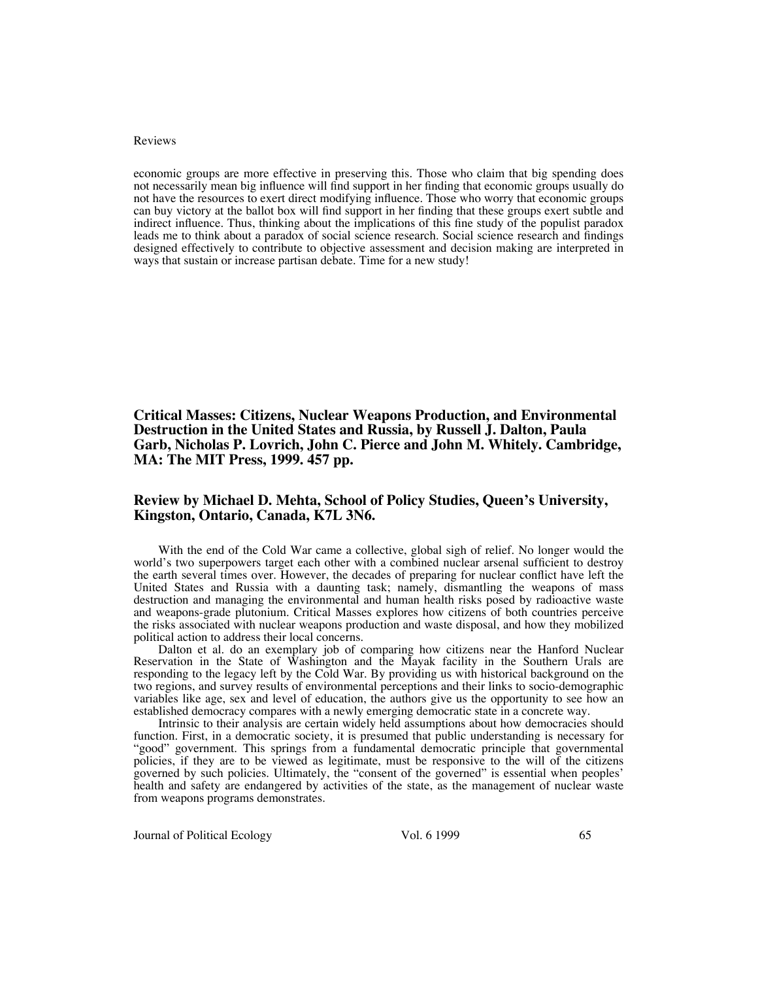economic groups are more effective in preserving this. Those who claim that big spending does not necessarily mean big influence will find support in her finding that economic groups usually do not have the resources to exert direct modifying influence. Those who worry that economic groups can buy victory at the ballot box will find support in her finding that these groups exert subtle and indirect influence. Thus, thinking about the implications of this fine study of the populist paradox leads me to think about a paradox of social science research. Social science research and findings designed effectively to contribute to objective assessment and decision making are interpreted in ways that sustain or increase partisan debate. Time for a new study!

**Critical Masses: Citizens, Nuclear Weapons Production, and Environmental Destruction in the United States and Russia, by Russell J. Dalton, Paula Garb, Nicholas P. Lovrich, John C. Pierce and John M. Whitely. Cambridge, MA: The MIT Press, 1999. 457 pp.** 

# **Review by Michael D. Mehta, School of Policy Studies, Queen's University, Kingston, Ontario, Canada, K7L 3N6.**

With the end of the Cold War came a collective, global sigh of relief. No longer would the world's two superpowers target each other with a combined nuclear arsenal sufficient to destroy the earth several times over. However, the decades of preparing for nuclear conflict have left the United States and Russia with a daunting task; namely, dismantling the weapons of mass destruction and managing the environmental and human health risks posed by radioactive waste and weapons-grade plutonium. Critical Masses explores how citizens of both countries perceive the risks associated with nuclear weapons production and waste disposal, and how they mobilized political action to address their local concerns.

Dalton et al. do an exemplary job of comparing how citizens near the Hanford Nuclear Reservation in the State of Washington and the Mayak facility in the Southern Urals are responding to the legacy left by the Cold War. By providing us with historical background on the two regions, and survey results of environmental perceptions and their links to socio-demographic variables like age, sex and level of education, the authors give us the opportunity to see how an established democracy compares with a newly emerging democratic state in a concrete way.

Intrinsic to their analysis are certain widely held assumptions about how democracies should function. First, in a democratic society, it is presumed that public understanding is necessary for "good" government. This springs from a fundamental democratic principle that governmental policies, if they are to be viewed as legitimate, must be responsive to the will of the citizens governed by such policies. Ultimately, the "consent of the governed" is essential when peoples' health and safety are endangered by activities of the state, as the management of nuclear waste from weapons programs demonstrates.

Journal of Political Ecology  $\sqrt{65}$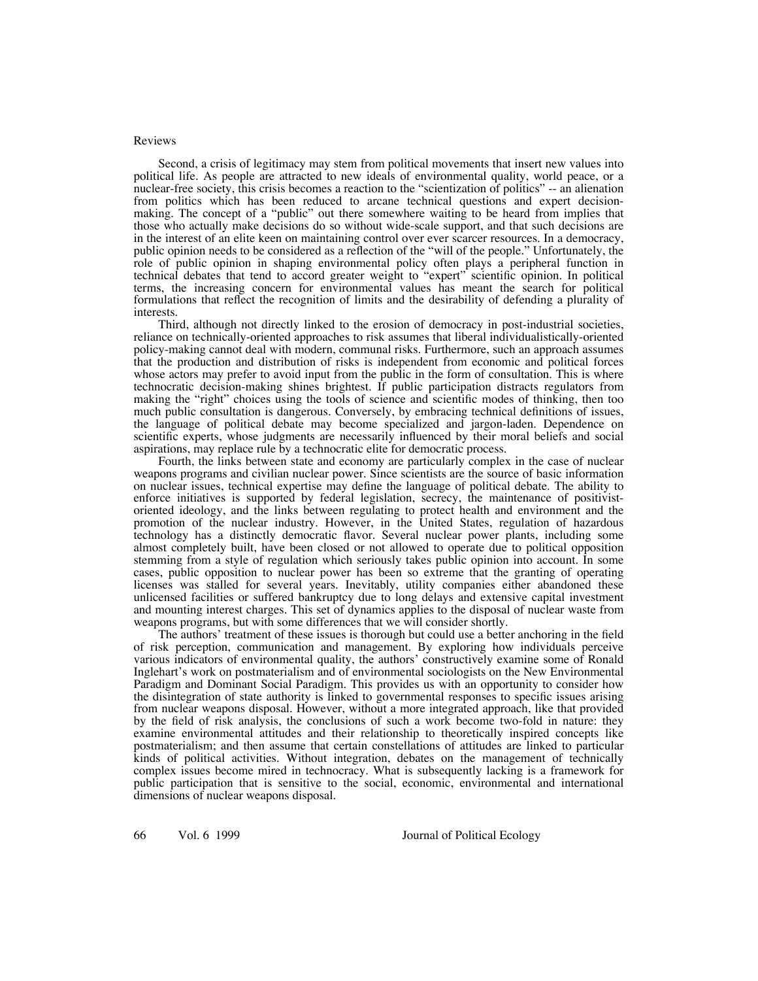Second, a crisis of legitimacy may stem from political movements that insert new values into political life. As people are attracted to new ideals of environmental quality, world peace, or a nuclear-free society, this crisis becomes a reaction to the "scientization of politics" -- an alienation from politics which has been reduced to arcane technical questions and expert decisionmaking. The concept of a "public" out there somewhere waiting to be heard from implies that those who actually make decisions do so without wide-scale support, and that such decisions are in the interest of an elite keen on maintaining control over ever scarcer resources. In a democracy, public opinion needs to be considered as a reflection of the "will of the people." Unfortunately, the role of public opinion in shaping environmental policy often plays a peripheral function in technical debates that tend to accord greater weight to "expert" scientific opinion. In political terms, the increasing concern for environmental values has meant the search for political formulations that reflect the recognition of limits and the desirability of defending a plurality of interests.

Third, although not directly linked to the erosion of democracy in post-industrial societies, reliance on technically-oriented approaches to risk assumes that liberal individualistically-oriented policy-making cannot deal with modern, communal risks. Furthermore, such an approach assumes that the production and distribution of risks is independent from economic and political forces whose actors may prefer to avoid input from the public in the form of consultation. This is where technocratic decision-making shines brightest. If public participation distracts regulators from making the "right" choices using the tools of science and scientific modes of thinking, then too much public consultation is dangerous. Conversely, by embracing technical definitions of issues, the language of political debate may become specialized and jargon-laden. Dependence on scientific experts, whose judgments are necessarily influenced by their moral beliefs and social aspirations, may replace rule by a technocratic elite for democratic process.

Fourth, the links between state and economy are particularly complex in the case of nuclear weapons programs and civilian nuclear power. Since scientists are the source of basic information on nuclear issues, technical expertise may define the language of political debate. The ability to enforce initiatives is supported by federal legislation, secrecy, the maintenance of positivistoriented ideology, and the links between regulating to protect health and environment and the promotion of the nuclear industry. However, in the United States, regulation of hazardous technology has a distinctly democratic flavor. Several nuclear power plants, including some almost completely built, have been closed or not allowed to operate due to political opposition stemming from a style of regulation which seriously takes public opinion into account. In some cases, public opposition to nuclear power has been so extreme that the granting of operating licenses was stalled for several years. Inevitably, utility companies either abandoned these unlicensed facilities or suffered bankruptcy due to long delays and extensive capital investment and mounting interest charges. This set of dynamics applies to the disposal of nuclear waste from weapons programs, but with some differences that we will consider shortly.

The authors' treatment of these issues is thorough but could use a better anchoring in the field of risk perception, communication and management. By exploring how individuals perceive various indicators of environmental quality, the authors' constructively examine some of Ronald Inglehart's work on postmaterialism and of environmental sociologists on the New Environmental Paradigm and Dominant Social Paradigm. This provides us with an opportunity to consider how the disintegration of state authority is linked to governmental responses to specific issues arising from nuclear weapons disposal. However, without a more integrated approach, like that provided by the field of risk analysis, the conclusions of such a work become two-fold in nature: they examine environmental attitudes and their relationship to theoretically inspired concepts like postmaterialism; and then assume that certain constellations of attitudes are linked to particular kinds of political activities. Without integration, debates on the management of technically complex issues become mired in technocracy. What is subsequently lacking is a framework for public participation that is sensitive to the social, economic, environmental and international dimensions of nuclear weapons disposal.

66 Vol. 6 1999 Journal of Political Ecology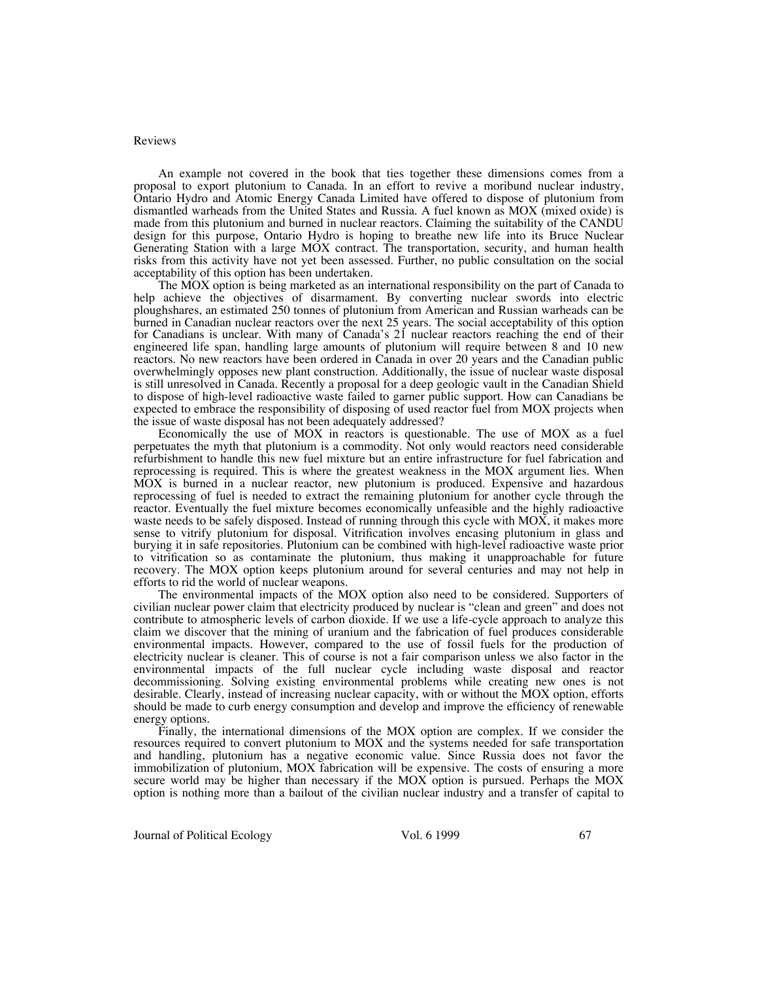An example not covered in the book that ties together these dimensions comes from a proposal to export plutonium to Canada. In an effort to revive a moribund nuclear industry, Ontario Hydro and Atomic Energy Canada Limited have offered to dispose of plutonium from dismantled warheads from the United States and Russia. A fuel known as MOX (mixed oxide) is made from this plutonium and burned in nuclear reactors. Claiming the suitability of the CANDU design for this purpose, Ontario Hydro is hoping to breathe new life into its Bruce Nuclear Generating Station with a large MOX contract. The transportation, security, and human health risks from this activity have not yet been assessed. Further, no public consultation on the social acceptability of this option has been undertaken.

The MOX option is being marketed as an international responsibility on the part of Canada to help achieve the objectives of disarmament. By converting nuclear swords into electric ploughshares, an estimated 250 tonnes of plutonium from American and Russian warheads can be burned in Canadian nuclear reactors over the next 25 years. The social acceptability of this option for Canadians is unclear. With many of Canada's 21 nuclear reactors reaching the end of their engineered life span, handling large amounts of plutonium will require between 8 and 10 new reactors. No new reactors have been ordered in Canada in over 20 years and the Canadian public overwhelmingly opposes new plant construction. Additionally, the issue of nuclear waste disposal is still unresolved in Canada. Recently a proposal for a deep geologic vault in the Canadian Shield to dispose of high-level radioactive waste failed to garner public support. How can Canadians be expected to embrace the responsibility of disposing of used reactor fuel from MOX projects when the issue of waste disposal has not been adequately addressed?

Economically the use of MOX in reactors is questionable. The use of MOX as a fuel perpetuates the myth that plutonium is a commodity. Not only would reactors need considerable refurbishment to handle this new fuel mixture but an entire infrastructure for fuel fabrication and reprocessing is required. This is where the greatest weakness in the MOX argument lies. When MOX is burned in a nuclear reactor, new plutonium is produced. Expensive and hazardous reprocessing of fuel is needed to extract the remaining plutonium for another cycle through the reactor. Eventually the fuel mixture becomes economically unfeasible and the highly radioactive waste needs to be safely disposed. Instead of running through this cycle with  $MOX$ , it makes more sense to vitrify plutonium for disposal. Vitrification involves encasing plutonium in glass and burying it in safe repositories. Plutonium can be combined with high-level radioactive waste prior to vitrification so as contaminate the plutonium, thus making it unapproachable for future recovery. The MOX option keeps plutonium around for several centuries and may not help in efforts to rid the world of nuclear weapons.

The environmental impacts of the MOX option also need to be considered. Supporters of civilian nuclear power claim that electricity produced by nuclear is "clean and green" and does not contribute to atmospheric levels of carbon dioxide. If we use a life-cycle approach to analyze this claim we discover that the mining of uranium and the fabrication of fuel produces considerable environmental impacts. However, compared to the use of fossil fuels for the production of electricity nuclear is cleaner. This of course is not a fair comparison unless we also factor in the environmental impacts of the full nuclear cycle including waste disposal and reactor decommissioning. Solving existing environmental problems while creating new ones is not desirable. Clearly, instead of increasing nuclear capacity, with or without the MOX option, efforts should be made to curb energy consumption and develop and improve the efficiency of renewable energy options.

Finally, the international dimensions of the MOX option are complex. If we consider the resources required to convert plutonium to MOX and the systems needed for safe transportation and handling, plutonium has a negative economic value. Since Russia does not favor the immobilization of plutonium, MOX fabrication will be expensive. The costs of ensuring a more secure world may be higher than necessary if the MOX option is pursued. Perhaps the MOX option is nothing more than a bailout of the civilian nuclear industry and a transfer of capital to

Journal of Political Ecology Vol. 6 1999 67